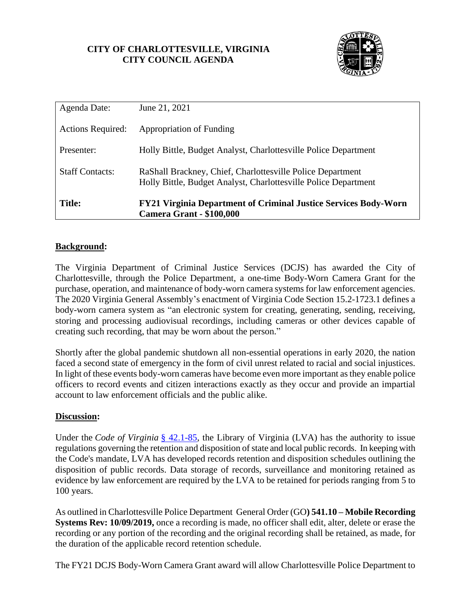# **CITY OF CHARLOTTESVILLE, VIRGINIA CITY COUNCIL AGENDA**



| Agenda Date:             | June 21, 2021                                                                                                                 |  |
|--------------------------|-------------------------------------------------------------------------------------------------------------------------------|--|
| <b>Actions Required:</b> | Appropriation of Funding                                                                                                      |  |
| Presenter:               | Holly Bittle, Budget Analyst, Charlottesville Police Department                                                               |  |
| <b>Staff Contacts:</b>   | RaShall Brackney, Chief, Charlottesville Police Department<br>Holly Bittle, Budget Analyst, Charlottesville Police Department |  |
| <b>Title:</b>            | <b>FY21 Virginia Department of Criminal Justice Services Body-Worn</b><br><b>Camera Grant - \$100,000</b>                     |  |

## **Background:**

The Virginia Department of Criminal Justice Services (DCJS) has awarded the City of Charlottesville, through the Police Department, a one-time Body-Worn Camera Grant for the purchase, operation, and maintenance of body-worn camera systems for law enforcement agencies. The 2020 Virginia General Assembly's enactment of Virginia Code Section 15.2-1723.1 defines a body-worn camera system as "an electronic system for creating, generating, sending, receiving, storing and processing audiovisual recordings, including cameras or other devices capable of creating such recording, that may be worn about the person."

Shortly after the global pandemic shutdown all non-essential operations in early 2020, the nation faced a second state of emergency in the form of civil unrest related to racial and social injustices. In light of these events body-worn cameras have become even more important as they enable police officers to record events and citizen interactions exactly as they occur and provide an impartial account to law enforcement officials and the public alike.

#### **Discussion:**

Under the *Code of Virginia* [§ 42.1-85,](http://law.lis.virginia.gov/vacode/42.1-85/) the Library of Virginia (LVA) has the authority to issue regulations governing the retention and disposition of state and local public records. In keeping with the Code's mandate, LVA has developed records retention and disposition schedules outlining the disposition of public records. Data storage of records, surveillance and monitoring retained as evidence by law enforcement are required by the LVA to be retained for periods ranging from 5 to 100 years.

As outlined in Charlottesville Police Department General Order (GO**) 541.10 – Mobile Recording Systems Rev: 10/09/2019,** once a recording is made, no officer shall edit, alter, delete or erase the recording or any portion of the recording and the original recording shall be retained, as made, for the duration of the applicable record retention schedule.

The FY21 DCJS Body-Worn Camera Grant award will allow Charlottesville Police Department to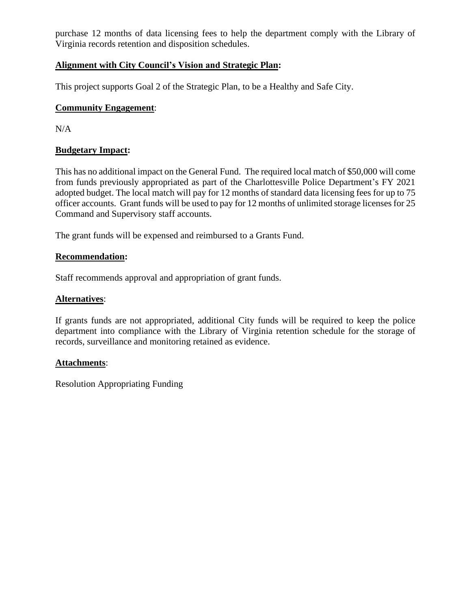purchase 12 months of data licensing fees to help the department comply with the Library of Virginia records retention and disposition schedules.

# **Alignment with City Council's Vision and Strategic Plan:**

This project supports Goal 2 of the Strategic Plan, to be a Healthy and Safe City.

# **Community Engagement**:

N/A

# **Budgetary Impact:**

This has no additional impact on the General Fund. The required local match of \$50,000 will come from funds previously appropriated as part of the Charlottesville Police Department's FY 2021 adopted budget. The local match will pay for 12 months of standard data licensing fees for up to 75 officer accounts. Grant funds will be used to pay for 12 months of unlimited storage licenses for 25 Command and Supervisory staff accounts.

The grant funds will be expensed and reimbursed to a Grants Fund.

## **Recommendation:**

Staff recommends approval and appropriation of grant funds.

# **Alternatives**:

If grants funds are not appropriated, additional City funds will be required to keep the police department into compliance with the Library of Virginia retention schedule for the storage of records, surveillance and monitoring retained as evidence.

## **Attachments**:

Resolution Appropriating Funding